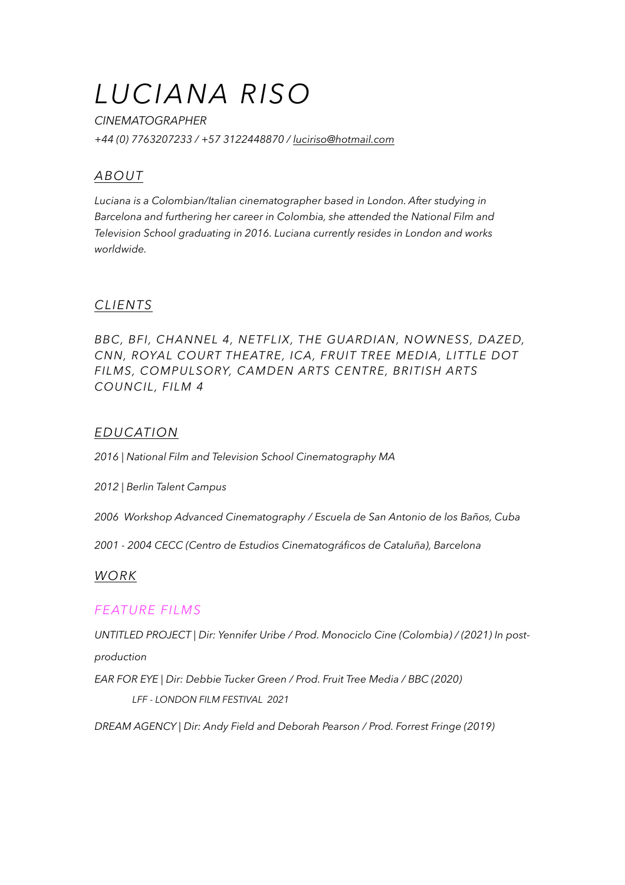# *LUCIANA RISO*

*CINEMATOGRAPHER +44 (0) 7763207233 / +57 3122448870 / [luciriso@hotmail.com](mailto:luciriso@hotmail.com)*

# *ABOUT*

*Luciana is a Colombian/Italian cinematographer based in London. After studying in Barcelona and furthering her career in Colombia, she attended the National Film and Television School graduating in 2016. Luciana currently resides in London and works worldwide.* 

## *CLIENTS*

*BBC, BFI, CHANNEL 4, NETFLIX, THE GUARDIAN, NOWNESS, DAZED, CNN, ROYAL COURT THEATRE, ICA, FRUIT TREE MEDIA, LITTLE DOT FILMS, COMPULSORY, CAMDEN ARTS CENTRE, BRITISH ARTS COUNCIL, FILM 4* 

## *EDUCATION*

*2016 | National Film and Television School Cinematography MA* 

*2012 | Berlin Talent Campus* 

*2006 Workshop Advanced Cinematography / Escuela de San Antonio de los Baños, Cuba* 

*2001 - 2004 CECC (Centro de Estudios Cinematográficos de Cataluña), Barcelona* 

#### *WORK*

#### *FEATURE FILMS*

*UNTITLED PROJECT | Dir: Yennifer Uribe / Prod. Monociclo Cine (Colombia) / (2021) In post-*

*production* 

*EAR FOR EYE | Dir: Debbie Tucker Green / Prod. Fruit Tree Media / BBC (2020)* 

 *LFF - LONDON FILM FESTIVAL 2021* 

*DREAM AGENCY | Dir: Andy Field and Deborah Pearson / Prod. Forrest Fringe (2019)*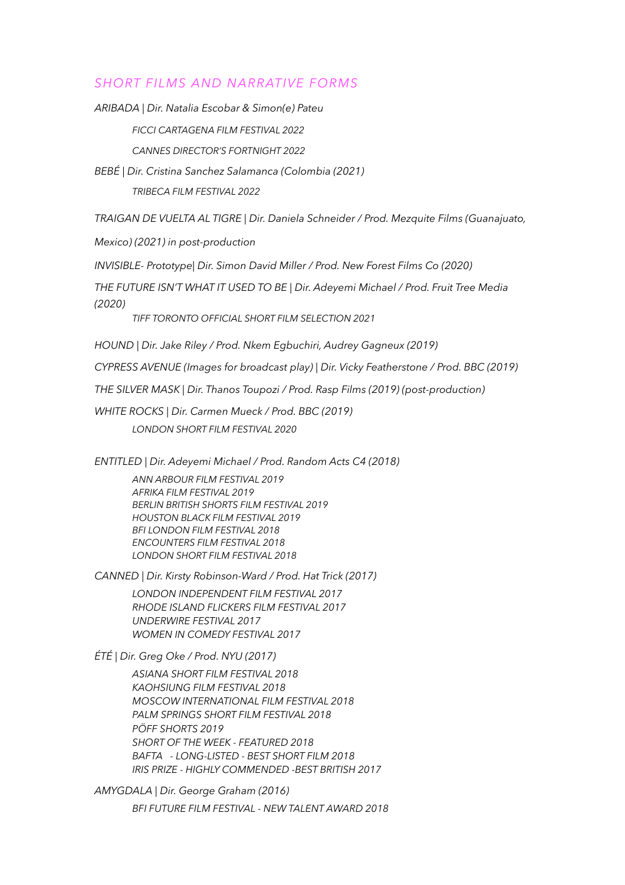#### *SHORT FILMS AND NARRATIVE FORMS*

*ARIBADA | Dir. Natalia Escobar & Simon(e) Pateu* 

*FICCI CARTAGENA FILM FESTIVAL 2022* 

 *CANNES DIRECTOR'S FORTNIGHT 2022* 

*BEBÉ | Dir. Cristina Sanchez Salamanca (Colombia (2021)* 

 *TRIBECA FILM FESTIVAL 2022* 

*TRAIGAN DE VUELTA AL TIGRE | Dir. Daniela Schneider / Prod. Mezquite Films (Guanajuato,* 

*Mexico) (2021) in post-production* 

*INVISIBLE- Prototype| Dir. Simon David Miller / Prod. New Forest Films Co (2020)* 

*THE FUTURE ISN'T WHAT IT USED TO BE | Dir. Adeyemi Michael / Prod. Fruit Tree Media (2020)* 

 *TIFF TORONTO OFFICIAL SHORT FILM SELECTION 2021* 

*HOUND | Dir. Jake Riley / Prod. Nkem Egbuchiri, Audrey Gagneux (2019)* 

*CYPRESS AVENUE (Images for broadcast play) | Dir. Vicky Featherstone / Prod. BBC (2019)* 

*THE SILVER MASK | Dir. Thanos Toupozi / Prod. Rasp Films (2019) (post-production)* 

*WHITE ROCKS | Dir. Carmen Mueck / Prod. BBC (2019) LONDON SHORT FILM FESTIVAL 2020* 

*ENTITLED | Dir. Adeyemi Michael / Prod. Random Acts C4 (2018)* 

*ANN ARBOUR FILM FESTIVAL 2019 AFRIKA FILM FESTIVAL 2019 BERLIN BRITISH SHORTS FILM FESTIVAL 2019 HOUSTON BLACK FILM FESTIVAL 2019 BFI LONDON FILM FESTIVAL 2018 ENCOUNTERS FILM FESTIVAL 2018 LONDON SHORT FILM FESTIVAL 2018* 

*CANNED | Dir. Kirsty Robinson-Ward / Prod. Hat Trick (2017)* 

*LONDON INDEPENDENT FILM FESTIVAL 2017 RHODE ISLAND FLICKERS FILM FESTIVAL 2017 UNDERWIRE FESTIVAL 2017 WOMEN IN COMEDY FESTIVAL 2017* 

*ÉTÉ | Dir. Greg Oke / Prod. NYU (2017)* 

*ASIANA SHORT FILM FESTIVAL 2018 KAOHSIUNG FILM FESTIVAL 2018 MOSCOW INTERNATIONAL FILM FESTIVAL 2018 PALM SPRINGS SHORT FILM FESTIVAL 2018 PÖFF SHORTS 2019 SHORT OF THE WEEK - FEATURED 2018 BAFTA - LONG-LISTED - BEST SHORT FILM 2018 IRIS PRIZE - HIGHLY COMMENDED -BEST BRITISH 2017* 

*AMYGDALA | Dir. George Graham (2016)* 

*BFI FUTURE FILM FESTIVAL - NEW TALENT AWARD 2018*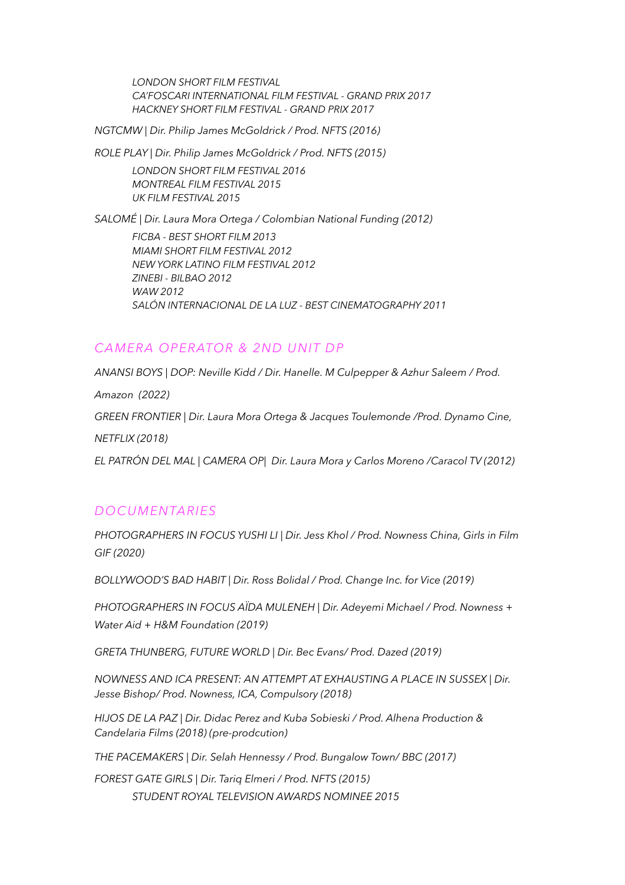*LONDON SHORT FILM FESTIVAL CA'FOSCARI INTERNATIONAL FILM FESTIVAL - GRAND PRIX 2017 HACKNEY SHORT FILM FESTIVAL - GRAND PRIX 2017* 

*NGTCMW | Dir. Philip James McGoldrick / Prod. NFTS (2016)* 

*ROLE PLAY | Dir. Philip James McGoldrick / Prod. NFTS (2015)* 

*LONDON SHORT FILM FESTIVAL 2016 MONTREAL FILM FESTIVAL 2015 UK FILM FESTIVAL 2015* 

*SALOMÉ | Dir. Laura Mora Ortega / Colombian National Funding (2012) FICBA - BEST SHORT FILM 2013 MIAMI SHORT FILM FESTIVAL 2012 NEW YORK LATINO FILM FESTIVAL 2012 ZINEBI - BILBAO 2012 WAW 2012 SALÓN INTERNACIONAL DE LA LUZ - BEST CINEMATOGRAPHY 2011* 

# *CAMERA OPERATOR & 2ND UNIT DP*

*ANANSI BOYS | DOP: Neville Kidd / Dir. Hanelle. M Culpepper & Azhur Saleem / Prod. Amazon (2022) GREEN FRONTIER | Dir. Laura Mora Ortega & Jacques Toulemonde /Prod. Dynamo Cine, NETFLIX (2018) EL PATRÓN DEL MAL | CAMERA OP| Dir. Laura Mora y Carlos Moreno /Caracol TV (2012)* 

#### *DOCUMENTARIES*

*PHOTOGRAPHERS IN FOCUS YUSHI LI | Dir. Jess Khol / Prod. Nowness China, Girls in Film GIF (2020)* 

*BOLLYWOOD'S BAD HABIT | Dir. Ross Bolidal / Prod. Change Inc. for Vice (2019)* 

*PHOTOGRAPHERS IN FOCUS AÏDA MULENEH | Dir. Adeyemi Michael / Prod. Nowness + Water Aid + H&M Foundation (2019)* 

*GRETA THUNBERG, FUTURE WORLD | Dir. Bec Evans/ Prod. Dazed (2019)* 

*NOWNESS AND ICA PRESENT: AN ATTEMPT AT EXHAUSTING A PLACE IN SUSSEX | Dir. Jesse Bishop/ Prod. Nowness, ICA, Compulsory (2018)* 

*HIJOS DE LA PAZ | Dir. Didac Perez and Kuba Sobieski / Prod. Alhena Production & Candelaria Films (2018) (pre-prodcution)* 

*THE PACEMAKERS | Dir. Selah Hennessy / Prod. Bungalow Town/ BBC (2017)* 

*FOREST GATE GIRLS | Dir. Tariq Elmeri / Prod. NFTS (2015) STUDENT ROYAL TELEVISION AWARDS NOMINEE 2015*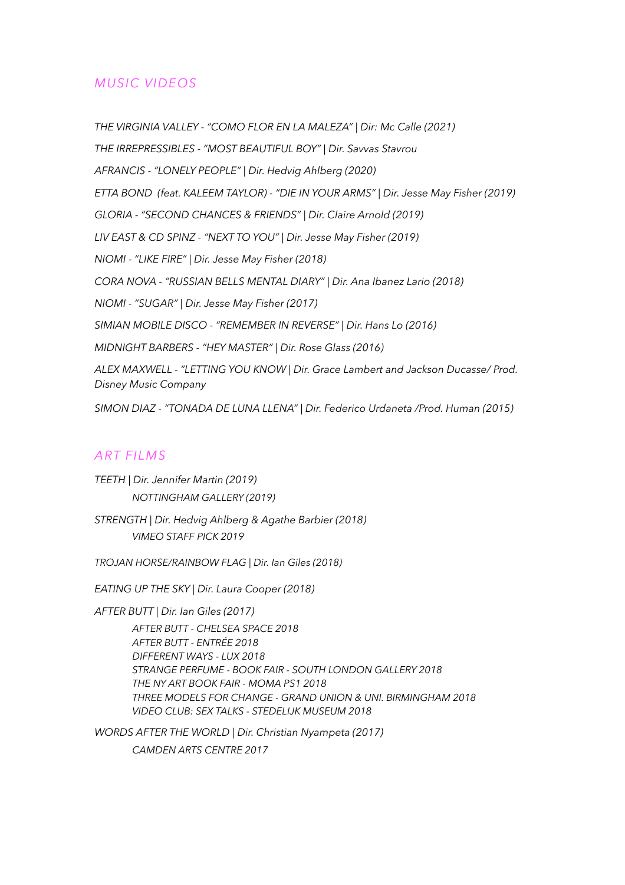## *MUSIC VIDEOS*

*THE VIRGINIA VALLEY - "COMO FLOR EN LA MALEZA" | Dir: Mc Calle (2021) THE IRREPRESSIBLES - "MOST BEAUTIFUL BOY" | Dir. Savvas Stavrou AFRANCIS - "LONELY PEOPLE" | Dir. Hedvig Ahlberg (2020) ETTA BOND (feat. KALEEM TAYLOR) - "DIE IN YOUR ARMS" | Dir. Jesse May Fisher (2019) GLORIA - "SECOND CHANCES & FRIENDS" | Dir. Claire Arnold (2019) LIV EAST & CD SPINZ - "NEXT TO YOU" | Dir. Jesse May Fisher (2019) NIOMI - "LIKE FIRE" | Dir. Jesse May Fisher (2018) CORA NOVA - "RUSSIAN BELLS MENTAL DIARY" | Dir. Ana Ibanez Lario (2018) NIOMI - "SUGAR" | Dir. Jesse May Fisher (2017) SIMIAN MOBILE DISCO - "REMEMBER IN REVERSE" | Dir. Hans Lo (2016) MIDNIGHT BARBERS - "HEY MASTER" | Dir. Rose Glass (2016) ALEX MAXWELL - "LETTING YOU KNOW | Dir. Grace Lambert and Jackson Ducasse/ Prod. Disney Music Company SIMON DIAZ - "TONADA DE LUNA LLENA" | Dir. Federico Urdaneta /Prod. Human (2015)* 

#### *ART FILMS*

*TEETH | Dir. Jennifer Martin (2019) NOTTINGHAM GALLERY (2019)*

*STRENGTH | Dir. Hedvig Ahlberg & Agathe Barbier (2018) VIMEO STAFF PICK 2019* 

*TROJAN HORSE/RAINBOW FLAG | Dir. Ian Giles (2018)* 

*EATING UP THE SKY | Dir. Laura Cooper (2018)* 

*AFTER BUTT | Dir. Ian Giles (2017)* 

*AFTER BUTT - CHELSEA SPACE 2018 AFTER BUTT - ENTRÉE 2018 DIFFERENT WAYS - LUX 2018 STRANGE PERFUME - BOOK FAIR - SOUTH LONDON GALLERY 2018 THE NY ART BOOK FAIR - MOMA PS1 2018 THREE MODELS FOR CHANGE - GRAND UNION & UNI. BIRMINGHAM 2018 VIDEO CLUB: SEX TALKS - STEDELIJK MUSEUM 2018* 

*WORDS AFTER THE WORLD | Dir. Christian Nyampeta (2017) CAMDEN ARTS CENTRE 2017*